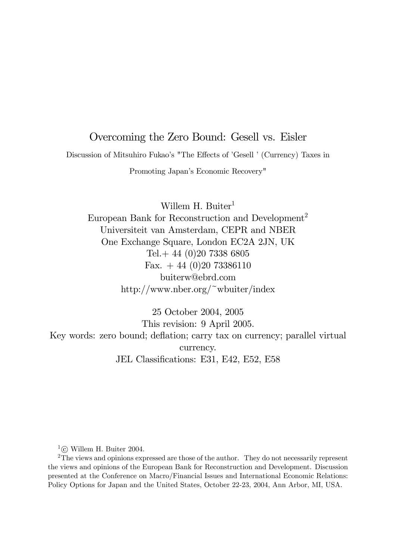## Overcoming the Zero Bound: Gesell vs. Eisler

Discussion of Mitsuhiro Fukao's "The Effects of 'Gesell ' (Currency) Taxes in

Promoting Japan's Economic Recovery"

Willem H. Buiter<sup>1</sup> European Bank for Reconstruction and Development<sup>2</sup> Universiteit van Amsterdam, CEPR and NBER One Exchange Square, London EC2A 2JN, UK Tel.+ 44 (0)20 7338 6805 Fax.  $+44(0)2073386110$ buiterw@ebrd.com http://www.nber.org/~wbuiter/index

25 October 2004, 2005 This revision: 9 April 2005. Key words: zero bound; deflation; carry tax on currency; parallel virtual currency. JEL Classifications: E31, E42, E52, E58

 $1\textcircled{c}$  Willem H. Buiter 2004.

<sup>2</sup>The views and opinions expressed are those of the author. They do not necessarily represent the views and opinions of the European Bank for Reconstruction and Development. Discussion presented at the Conference on Macro/Financial Issues and International Economic Relations: Policy Options for Japan and the United States, October 22-23, 2004, Ann Arbor, MI, USA.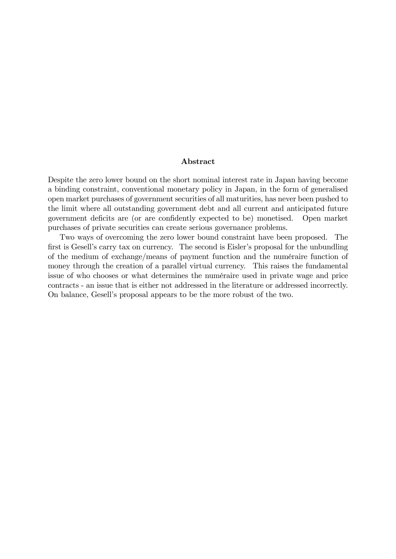#### Abstract

Despite the zero lower bound on the short nominal interest rate in Japan having become a binding constraint, conventional monetary policy in Japan, in the form of generalised open market purchases of government securities of all maturities, has never been pushed to the limit where all outstanding government debt and all current and anticipated future government deficits are (or are confidently expected to be) monetised. Open market purchases of private securities can create serious governance problems.

Two ways of overcoming the zero lower bound constraint have been proposed. The first is Gesell's carry tax on currency. The second is Eisler's proposal for the unbundling of the medium of exchange/means of payment function and the numéraire function of money through the creation of a parallel virtual currency. This raises the fundamental issue of who chooses or what determines the numéraire used in private wage and price contracts - an issue that is either not addressed in the literature or addressed incorrectly. On balance, Gesellís proposal appears to be the more robust of the two.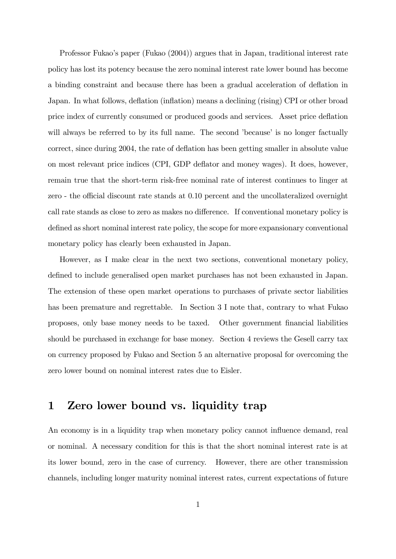Professor Fukaoís paper (Fukao (2004)) argues that in Japan, traditional interest rate policy has lost its potency because the zero nominal interest rate lower bound has become a binding constraint and because there has been a gradual acceleration of deáation in Japan. In what follows, deflation (inflation) means a declining (rising) CPI or other broad price index of currently consumed or produced goods and services. Asset price deáation will always be referred to by its full name. The second 'because' is no longer factually correct, since during 2004, the rate of deflation has been getting smaller in absolute value on most relevant price indices (CPI, GDP deflator and money wages). It does, however, remain true that the short-term risk-free nominal rate of interest continues to linger at zero - the official discount rate stands at 0.10 percent and the uncollateralized overnight call rate stands as close to zero as makes no difference. If conventional monetary policy is defined as short nominal interest rate policy, the scope for more expansionary conventional monetary policy has clearly been exhausted in Japan.

However, as I make clear in the next two sections, conventional monetary policy, defined to include generalised open market purchases has not been exhausted in Japan. The extension of these open market operations to purchases of private sector liabilities has been premature and regrettable. In Section 3 I note that, contrary to what Fukao proposes, only base money needs to be taxed. Other government Önancial liabilities should be purchased in exchange for base money. Section 4 reviews the Gesell carry tax on currency proposed by Fukao and Section 5 an alternative proposal for overcoming the zero lower bound on nominal interest rates due to Eisler.

## 1 Zero lower bound vs. liquidity trap

An economy is in a liquidity trap when monetary policy cannot influence demand, real or nominal. A necessary condition for this is that the short nominal interest rate is at its lower bound, zero in the case of currency. However, there are other transmission channels, including longer maturity nominal interest rates, current expectations of future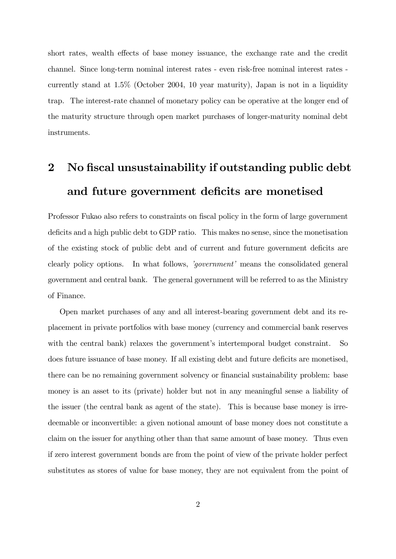short rates, wealth effects of base money issuance, the exchange rate and the credit channel. Since long-term nominal interest rates - even risk-free nominal interest rates currently stand at 1.5% (October 2004, 10 year maturity), Japan is not in a liquidity trap. The interest-rate channel of monetary policy can be operative at the longer end of the maturity structure through open market purchases of longer-maturity nominal debt instruments.

# 2 No fiscal unsustainability if outstanding public debt and future government deficits are monetised

Professor Fukao also refers to constraints on fiscal policy in the form of large government deficits and a high public debt to GDP ratio. This makes no sense, since the monetisation of the existing stock of public debt and of current and future government deÖcits are clearly policy options. In what follows, 'government' means the consolidated general government and central bank. The general government will be referred to as the Ministry of Finance.

Open market purchases of any and all interest-bearing government debt and its replacement in private portfolios with base money (currency and commercial bank reserves with the central bank) relaxes the government's intertemporal budget constraint. So does future issuance of base money. If all existing debt and future deficits are monetised, there can be no remaining government solvency or financial sustainability problem: base money is an asset to its (private) holder but not in any meaningful sense a liability of the issuer (the central bank as agent of the state). This is because base money is irredeemable or inconvertible: a given notional amount of base money does not constitute a claim on the issuer for anything other than that same amount of base money. Thus even if zero interest government bonds are from the point of view of the private holder perfect substitutes as stores of value for base money, they are not equivalent from the point of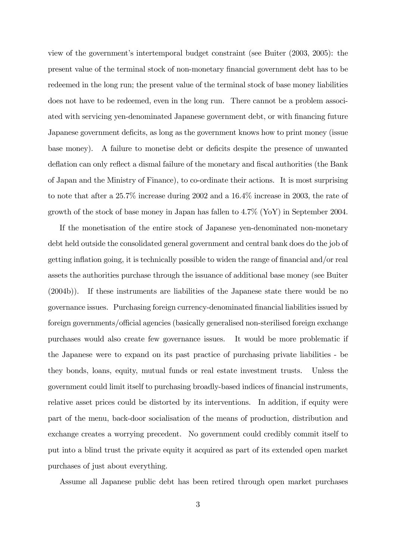view of the government's intertemporal budget constraint (see Buiter (2003, 2005): the present value of the terminal stock of non-monetary financial government debt has to be redeemed in the long run; the present value of the terminal stock of base money liabilities does not have to be redeemed, even in the long run. There cannot be a problem associated with servicing yen-denominated Japanese government debt, or with financing future Japanese government deficits, as long as the government knows how to print money (issue base money). A failure to monetise debt or deficits despite the presence of unwanted deflation can only reflect a dismal failure of the monetary and fiscal authorities (the Bank of Japan and the Ministry of Finance), to co-ordinate their actions. It is most surprising to note that after a 25.7% increase during 2002 and a 16.4% increase in 2003, the rate of growth of the stock of base money in Japan has fallen to 4.7% (YoY) in September 2004.

If the monetisation of the entire stock of Japanese yen-denominated non-monetary debt held outside the consolidated general government and central bank does do the job of getting inflation going, it is technically possible to widen the range of financial and/or real assets the authorities purchase through the issuance of additional base money (see Buiter (2004b)). If these instruments are liabilities of the Japanese state there would be no governance issues. Purchasing foreign currency-denominated Önancial liabilities issued by foreign governments/official agencies (basically generalised non-sterilised foreign exchange purchases would also create few governance issues. It would be more problematic if the Japanese were to expand on its past practice of purchasing private liabilities - be they bonds, loans, equity, mutual funds or real estate investment trusts. Unless the government could limit itself to purchasing broadly-based indices of financial instruments, relative asset prices could be distorted by its interventions. In addition, if equity were part of the menu, back-door socialisation of the means of production, distribution and exchange creates a worrying precedent. No government could credibly commit itself to put into a blind trust the private equity it acquired as part of its extended open market purchases of just about everything.

Assume all Japanese public debt has been retired through open market purchases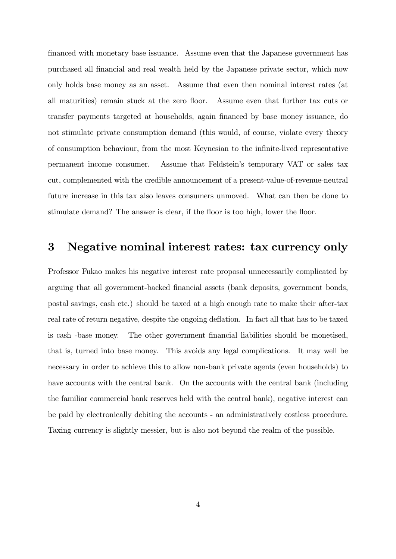Önanced with monetary base issuance. Assume even that the Japanese government has purchased all Önancial and real wealth held by the Japanese private sector, which now only holds base money as an asset. Assume that even then nominal interest rates (at all maturities) remain stuck at the zero floor. Assume even that further tax cuts or transfer payments targeted at households, again Önanced by base money issuance, do not stimulate private consumption demand (this would, of course, violate every theory of consumption behaviour, from the most Keynesian to the inÖnite-lived representative permanent income consumer. Assume that Feldstein's temporary VAT or sales tax cut, complemented with the credible announcement of a present-value-of-revenue-neutral future increase in this tax also leaves consumers unmoved. What can then be done to stimulate demand? The answer is clear, if the floor is too high, lower the floor.

## 3 Negative nominal interest rates: tax currency only

Professor Fukao makes his negative interest rate proposal unnecessarily complicated by arguing that all government-backed Önancial assets (bank deposits, government bonds, postal savings, cash etc.) should be taxed at a high enough rate to make their after-tax real rate of return negative, despite the ongoing deflation. In fact all that has to be taxed is cash -base money. The other government Önancial liabilities should be monetised, that is, turned into base money. This avoids any legal complications. It may well be necessary in order to achieve this to allow non-bank private agents (even households) to have accounts with the central bank. On the accounts with the central bank (including the familiar commercial bank reserves held with the central bank), negative interest can be paid by electronically debiting the accounts - an administratively costless procedure. Taxing currency is slightly messier, but is also not beyond the realm of the possible.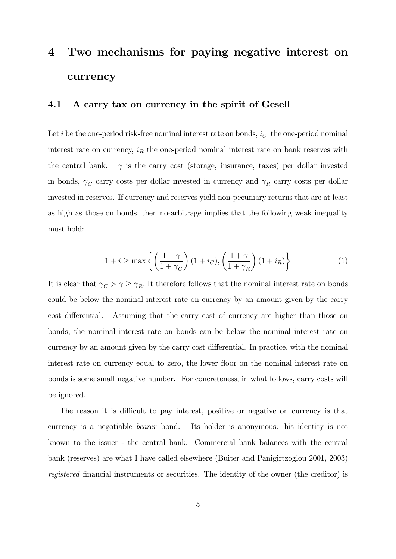# 4 Two mechanisms for paying negative interest on currency

#### 4.1 A carry tax on currency in the spirit of Gesell

Let i be the one-period risk-free nominal interest rate on bonds,  $i<sub>C</sub>$  the one-period nominal interest rate on currency,  $i_R$  the one-period nominal interest rate on bank reserves with the central bank.  $\gamma$  is the carry cost (storage, insurance, taxes) per dollar invested in bonds,  $\gamma_C$  carry costs per dollar invested in currency and  $\gamma_R$  carry costs per dollar invested in reserves. If currency and reserves yield non-pecuniary returns that are at least as high as those on bonds, then no-arbitrage implies that the following weak inequality must hold:

$$
1 + i \ge \max\left\{ \left( \frac{1 + \gamma}{1 + \gamma_C} \right) (1 + i_C), \left( \frac{1 + \gamma}{1 + \gamma_R} \right) (1 + i_R) \right\} \tag{1}
$$

It is clear that  $\gamma_C > \gamma \geq \gamma_R$ . It therefore follows that the nominal interest rate on bonds could be below the nominal interest rate on currency by an amount given by the carry cost differential. Assuming that the carry cost of currency are higher than those on bonds, the nominal interest rate on bonds can be below the nominal interest rate on currency by an amount given by the carry cost differential. In practice, with the nominal interest rate on currency equal to zero, the lower floor on the nominal interest rate on bonds is some small negative number. For concreteness, in what follows, carry costs will be ignored.

The reason it is difficult to pay interest, positive or negative on currency is that currency is a negotiable bearer bond. Its holder is anonymous: his identity is not known to the issuer - the central bank. Commercial bank balances with the central bank (reserves) are what I have called elsewhere (Buiter and Panigirtzoglou 2001, 2003) registered Önancial instruments or securities. The identity of the owner (the creditor) is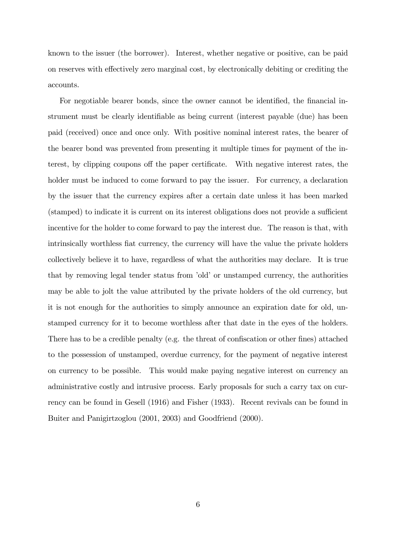known to the issuer (the borrower). Interest, whether negative or positive, can be paid on reserves with effectively zero marginal cost, by electronically debiting or crediting the accounts.

For negotiable bearer bonds, since the owner cannot be identified, the financial instrument must be clearly identifiable as being current (interest payable (due) has been paid (received) once and once only. With positive nominal interest rates, the bearer of the bearer bond was prevented from presenting it multiple times for payment of the interest, by clipping coupons off the paper certificate. With negative interest rates, the holder must be induced to come forward to pay the issuer. For currency, a declaration by the issuer that the currency expires after a certain date unless it has been marked (stamped) to indicate it is current on its interest obligations does not provide a sufficient incentive for the holder to come forward to pay the interest due. The reason is that, with intrinsically worthless fiat currency, the currency will have the value the private holders collectively believe it to have, regardless of what the authorities may declare. It is true that by removing legal tender status from 'old' or unstamped currency, the authorities may be able to jolt the value attributed by the private holders of the old currency, but it is not enough for the authorities to simply announce an expiration date for old, unstamped currency for it to become worthless after that date in the eyes of the holders. There has to be a credible penalty (e.g. the threat of confiscation or other fines) attached to the possession of unstamped, overdue currency, for the payment of negative interest on currency to be possible. This would make paying negative interest on currency an administrative costly and intrusive process. Early proposals for such a carry tax on currency can be found in Gesell (1916) and Fisher (1933). Recent revivals can be found in Buiter and Panigirtzoglou (2001, 2003) and Goodfriend (2000).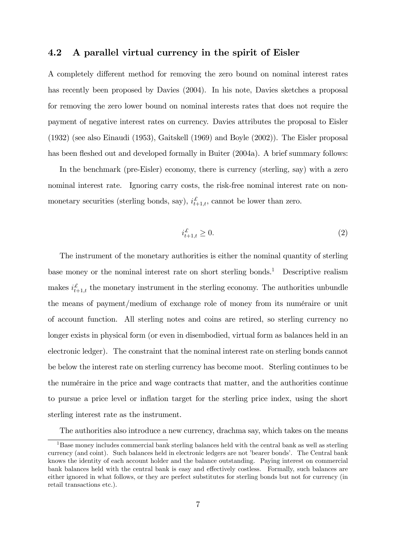#### 4.2 A parallel virtual currency in the spirit of Eisler

A completely different method for removing the zero bound on nominal interest rates has recently been proposed by Davies (2004). In his note, Davies sketches a proposal for removing the zero lower bound on nominal interests rates that does not require the payment of negative interest rates on currency. Davies attributes the proposal to Eisler (1932) (see also Einaudi (1953), Gaitskell (1969) and Boyle (2002)). The Eisler proposal has been fleshed out and developed formally in Buiter (2004a). A brief summary follows:

In the benchmark (pre-Eisler) economy, there is currency (sterling, say) with a zero nominal interest rate. Ignoring carry costs, the risk-free nominal interest rate on nonmonetary securities (sterling bonds, say),  $i_{t+1,t}^{\mathcal{L}}$ , cannot be lower than zero.

$$
i_{t+1,t}^{\mathcal{L}} \geq 0. \tag{2}
$$

The instrument of the monetary authorities is either the nominal quantity of sterling base money or the nominal interest rate on short sterling bonds.<sup>1</sup> Descriptive realism makes  $i_{t+1,t}^{\mathcal{L}}$  the monetary instrument in the sterling economy. The authorities unbundle the means of payment/medium of exchange role of money from its numéraire or unit of account function. All sterling notes and coins are retired, so sterling currency no longer exists in physical form (or even in disembodied, virtual form as balances held in an electronic ledger). The constraint that the nominal interest rate on sterling bonds cannot be below the interest rate on sterling currency has become moot. Sterling continues to be the numÈraire in the price and wage contracts that matter, and the authorities continue to pursue a price level or ináation target for the sterling price index, using the short sterling interest rate as the instrument.

The authorities also introduce a new currency, drachma say, which takes on the means

<sup>&</sup>lt;sup>1</sup>Base money includes commercial bank sterling balances held with the central bank as well as sterling currency (and coint). Such balances held in electronic ledgers are not 'bearer bonds'. The Central bank knows the identity of each account holder and the balance outstanding. Paying interest on commercial bank balances held with the central bank is easy and effectively costless. Formally, such balances are either ignored in what follows, or they are perfect substitutes for sterling bonds but not for currency (in retail transactions etc.).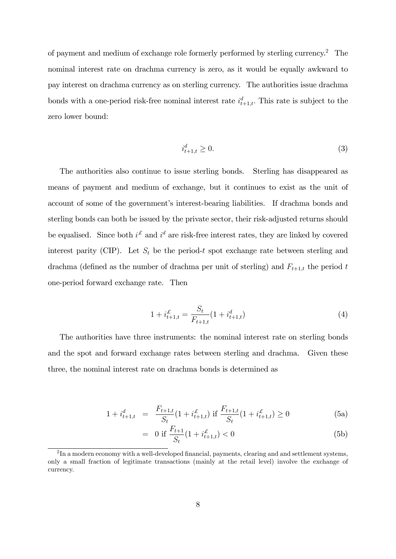of payment and medium of exchange role formerly performed by sterling currency.<sup>2</sup> The nominal interest rate on drachma currency is zero, as it would be equally awkward to pay interest on drachma currency as on sterling currency. The authorities issue drachma bonds with a one-period risk-free nominal interest rate  $i_{t+1,t}^d$ . This rate is subject to the zero lower bound:

$$
i_{t+1,t}^d \ge 0. \tag{3}
$$

The authorities also continue to issue sterling bonds. Sterling has disappeared as means of payment and medium of exchange, but it continues to exist as the unit of account of some of the government's interest-bearing liabilities. If drachma bonds and sterling bonds can both be issued by the private sector, their risk-adjusted returns should be equalised. Since both  $i^{\mathcal{L}}$  and  $i^d$  are risk-free interest rates, they are linked by covered interest parity (CIP). Let  $S_t$  be the period-t spot exchange rate between sterling and drachma (defined as the number of drachma per unit of sterling) and  $F_{t+1,t}$  the period t one-period forward exchange rate. Then

$$
1 + i_{t+1,t}^{\mathcal{L}} = \frac{S_t}{F_{t+1,t}} (1 + i_{t+1,t}^d)
$$
\n<sup>(4)</sup>

The authorities have three instruments: the nominal interest rate on sterling bonds and the spot and forward exchange rates between sterling and drachma. Given these three, the nominal interest rate on drachma bonds is determined as

$$
1 + i_{t+1,t}^d = \frac{F_{t+1,t}}{S_t} (1 + i_{t+1,t}^{\mathcal{L}}) \text{ if } \frac{F_{t+1,t}}{S_t} (1 + i_{t+1,t}^{\mathcal{L}}) \ge 0 \tag{5a}
$$

$$
= 0 \text{ if } \frac{F_{t+1}}{S_t} (1 + i_{t+1,t}^{\mathcal{L}}) < 0 \tag{5b}
$$

 ${}^{2}$ In a modern economy with a well-developed financial, payments, clearing and and settlement systems, only a small fraction of legitimate transactions (mainly at the retail level) involve the exchange of currency.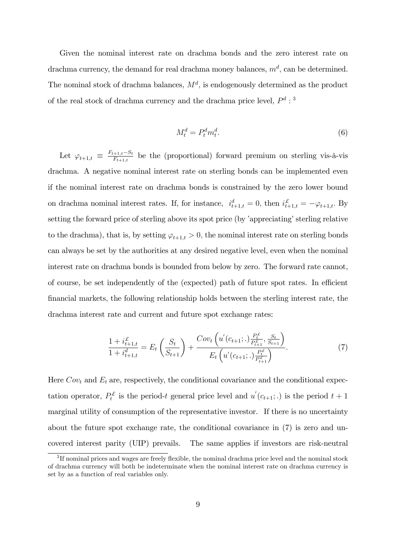Given the nominal interest rate on drachma bonds and the zero interest rate on drachma currency, the demand for real drachma money balances,  $m^d$ , can be determined. The nominal stock of drachma balances,  $M^d$ , is endogenously determined as the product of the real stock of drachma currency and the drachma price level,  $P<sup>d</sup>$ :<sup>3</sup>

$$
M_t^d = P_t^d m_t^d. \tag{6}
$$

Let  $\varphi_{t+1,t} \equiv \frac{F_{t+1,t}-S_t}{F_{t+1,t}}$  be the (proportional) forward premium on sterling vis-à-vis drachma. A negative nominal interest rate on sterling bonds can be implemented even if the nominal interest rate on drachma bonds is constrained by the zero lower bound on drachma nominal interest rates. If, for instance,  $i_{t+1,t}^d = 0$ , then  $i_{t+1,t}^d = -\varphi_{t+1,t}$ . By setting the forward price of sterling above its spot price (by 'appreciating' sterling relative to the drachma), that is, by setting  $\varphi_{t+1,t} > 0$ , the nominal interest rate on sterling bonds can always be set by the authorities at any desired negative level, even when the nominal interest rate on drachma bonds is bounded from below by zero. The forward rate cannot, of course, be set independently of the (expected) path of future spot rates. In efficient Önancial markets, the following relationship holds between the sterling interest rate, the drachma interest rate and current and future spot exchange rates:

$$
\frac{1+i_{t+1,t}^{\mathcal{L}}}{1+i_{t+1,t}^d} = E_t \left( \frac{S_t}{S_{t+1}} \right) + \frac{Cov_t \left( u'(c_{t+1};.) \frac{P_t^{\mathcal{L}}}{P_{t+1}^{\mathcal{L}}}, \frac{S_t}{S_{t+1}} \right)}{E_t \left( u'(c_{t+1};.) \frac{P_t^{\mathcal{L}}}{P_{t+1}^{\mathcal{L}}} \right)}.
$$
(7)

Here  $Cov_t$  and  $E_t$  are, respectively, the conditional covariance and the conditional expectation operator,  $P_t^{\mathcal{L}}$  is the period-t general price level and  $u'(c_{t+1};.)$  is the period  $t+1$ marginal utility of consumption of the representative investor. If there is no uncertainty about the future spot exchange rate, the conditional covariance in (7) is zero and uncovered interest parity (UIP) prevails. The same applies if investors are risk-neutral

 $3$ If nominal prices and wages are freely flexible, the nominal drachma price level and the nominal stock of drachma currency will both be indeterminate when the nominal interest rate on drachma currency is set by as a function of real variables only.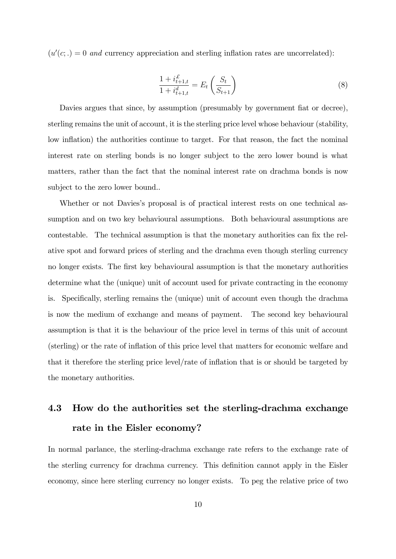$(u'(c, .) = 0$  and currency appreciation and sterling inflation rates are uncorrelated):

$$
\frac{1 + i_{t+1,t}^{\mathcal{L}}}{1 + i_{t+1,t}^d} = E_t \left( \frac{S_t}{S_{t+1}} \right)
$$
\n(8)

Davies argues that since, by assumption (presumably by government flat or decree), sterling remains the unit of account, it is the sterling price level whose behaviour (stability, low inflation) the authorities continue to target. For that reason, the fact the nominal interest rate on sterling bonds is no longer subject to the zero lower bound is what matters, rather than the fact that the nominal interest rate on drachma bonds is now subject to the zero lower bound..

Whether or not Davies's proposal is of practical interest rests on one technical assumption and on two key behavioural assumptions. Both behavioural assumptions are contestable. The technical assumption is that the monetary authorities can fix the relative spot and forward prices of sterling and the drachma even though sterling currency no longer exists. The first key behavioural assumption is that the monetary authorities determine what the (unique) unit of account used for private contracting in the economy is. Specifically, sterling remains the (unique) unit of account even though the drachma is now the medium of exchange and means of payment. The second key behavioural assumption is that it is the behaviour of the price level in terms of this unit of account (sterling) or the rate of ináation of this price level that matters for economic welfare and that it therefore the sterling price level/rate of inflation that is or should be targeted by the monetary authorities.

## 4.3 How do the authorities set the sterling-drachma exchange rate in the Eisler economy?

In normal parlance, the sterling-drachma exchange rate refers to the exchange rate of the sterling currency for drachma currency. This definition cannot apply in the Eisler economy, since here sterling currency no longer exists. To peg the relative price of two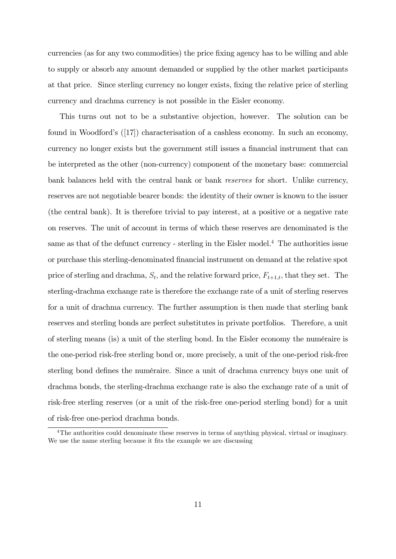currencies (as for any two commodities) the price Öxing agency has to be willing and able to supply or absorb any amount demanded or supplied by the other market participants at that price. Since sterling currency no longer exists, Öxing the relative price of sterling currency and drachma currency is not possible in the Eisler economy.

This turns out not to be a substantive objection, however. The solution can be found in Woodford's  $(17)$  characterisation of a cashless economy. In such an economy, currency no longer exists but the government still issues a financial instrument that can be interpreted as the other (non-currency) component of the monetary base: commercial bank balances held with the central bank or bank reserves for short. Unlike currency, reserves are not negotiable bearer bonds: the identity of their owner is known to the issuer (the central bank). It is therefore trivial to pay interest, at a positive or a negative rate on reserves. The unit of account in terms of which these reserves are denominated is the same as that of the defunct currency - sterling in the Eisler model.<sup>4</sup> The authorities issue or purchase this sterling-denominated Önancial instrument on demand at the relative spot price of sterling and drachma,  $S_t$ , and the relative forward price,  $F_{t+1,t}$ , that they set. The sterling-drachma exchange rate is therefore the exchange rate of a unit of sterling reserves for a unit of drachma currency. The further assumption is then made that sterling bank reserves and sterling bonds are perfect substitutes in private portfolios. Therefore, a unit of sterling means (is) a unit of the sterling bond. In the Eisler economy the numéraire is the one-period risk-free sterling bond or, more precisely, a unit of the one-period risk-free sterling bond defines the numéraire. Since a unit of drachma currency buys one unit of drachma bonds, the sterling-drachma exchange rate is also the exchange rate of a unit of risk-free sterling reserves (or a unit of the risk-free one-period sterling bond) for a unit of risk-free one-period drachma bonds.

<sup>&</sup>lt;sup>4</sup>The authorities could denominate these reserves in terms of anything physical, virtual or imaginary. We use the name sterling because it fits the example we are discussing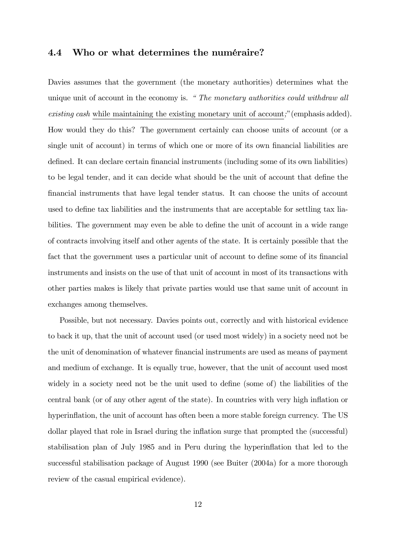#### 4.4 Who or what determines the numéraire?

Davies assumes that the government (the monetary authorities) determines what the unique unit of account in the economy is. " The monetary authorities could withdraw all existing cash while maintaining the existing monetary unit of account;" (emphasis added). How would they do this? The government certainly can choose units of account (or a single unit of account) in terms of which one or more of its own financial liabilities are defined. It can declare certain financial instruments (including some of its own liabilities) to be legal tender, and it can decide what should be the unit of account that define the Önancial instruments that have legal tender status. It can choose the units of account used to define tax liabilities and the instruments that are acceptable for settling tax liabilities. The government may even be able to define the unit of account in a wide range of contracts involving itself and other agents of the state. It is certainly possible that the fact that the government uses a particular unit of account to define some of its financial instruments and insists on the use of that unit of account in most of its transactions with other parties makes is likely that private parties would use that same unit of account in exchanges among themselves.

Possible, but not necessary. Davies points out, correctly and with historical evidence to back it up, that the unit of account used (or used most widely) in a society need not be the unit of denomination of whatever financial instruments are used as means of payment and medium of exchange. It is equally true, however, that the unit of account used most widely in a society need not be the unit used to define (some of) the liabilities of the central bank (or of any other agent of the state). In countries with very high ináation or hyperinflation, the unit of account has often been a more stable foreign currency. The US dollar played that role in Israel during the inflation surge that prompted the (successful) stabilisation plan of July 1985 and in Peru during the hyperinflation that led to the successful stabilisation package of August 1990 (see Buiter (2004a) for a more thorough review of the casual empirical evidence).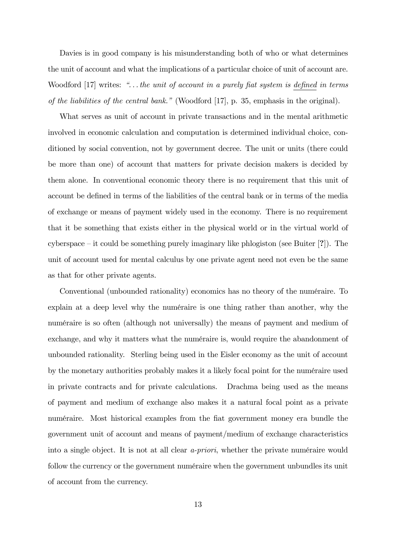Davies is in good company is his misunderstanding both of who or what determines the unit of account and what the implications of a particular choice of unit of account are. Woodford  $[17]$  writes: "... the unit of account in a purely fiat system is defined in terms of the liabilities of the central bank." (Woodford [17], p. 35, emphasis in the original).

What serves as unit of account in private transactions and in the mental arithmetic involved in economic calculation and computation is determined individual choice, conditioned by social convention, not by government decree. The unit or units (there could be more than one) of account that matters for private decision makers is decided by them alone. In conventional economic theory there is no requirement that this unit of account be defined in terms of the liabilities of the central bank or in terms of the media of exchange or means of payment widely used in the economy. There is no requirement that it be something that exists either in the physical world or in the virtual world of cyberspace – it could be something purely imaginary like phlogiston (see Buiter  $[?]$ ). The unit of account used for mental calculus by one private agent need not even be the same as that for other private agents.

Conventional (unbounded rationality) economics has no theory of the numéraire. To explain at a deep level why the numéraire is one thing rather than another, why the numéraire is so often (although not universally) the means of payment and medium of exchange, and why it matters what the numéraire is, would require the abandonment of unbounded rationality. Sterling being used in the Eisler economy as the unit of account by the monetary authorities probably makes it a likely focal point for the numéraire used in private contracts and for private calculations. Drachma being used as the means of payment and medium of exchange also makes it a natural focal point as a private numéraire. Most historical examples from the fiat government money era bundle the government unit of account and means of payment/medium of exchange characteristics into a single object. It is not at all clear *a-priori*, whether the private numéraire would follow the currency or the government numéraire when the government unbundles its unit of account from the currency.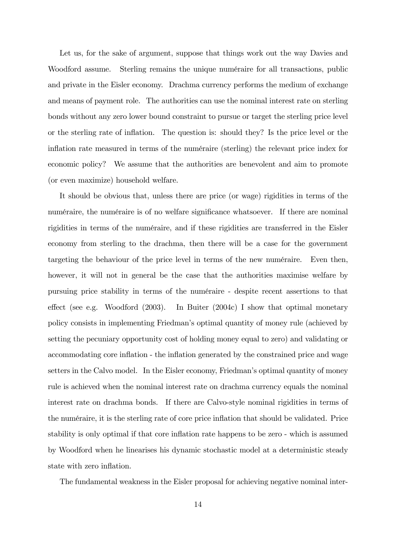Let us, for the sake of argument, suppose that things work out the way Davies and Woodford assume. Sterling remains the unique numéraire for all transactions, public and private in the Eisler economy. Drachma currency performs the medium of exchange and means of payment role. The authorities can use the nominal interest rate on sterling bonds without any zero lower bound constraint to pursue or target the sterling price level or the sterling rate of ináation. The question is: should they? Is the price level or the inflation rate measured in terms of the numéraire (sterling) the relevant price index for economic policy? We assume that the authorities are benevolent and aim to promote (or even maximize) household welfare.

It should be obvious that, unless there are price (or wage) rigidities in terms of the numéraire, the numéraire is of no welfare significance whatsoever. If there are nominal rigidities in terms of the numéraire, and if these rigidities are transferred in the Eisler economy from sterling to the drachma, then there will be a case for the government targeting the behaviour of the price level in terms of the new numéraire. Even then, however, it will not in general be the case that the authorities maximise welfare by pursuing price stability in terms of the numéraire - despite recent assertions to that effect (see e.g. Woodford  $(2003)$ . In Buiter  $(2004c)$  I show that optimal monetary policy consists in implementing Friedmanís optimal quantity of money rule (achieved by setting the pecuniary opportunity cost of holding money equal to zero) and validating or accommodating core inflation - the inflation generated by the constrained price and wage setters in the Calvo model. In the Eisler economy, Friedman's optimal quantity of money rule is achieved when the nominal interest rate on drachma currency equals the nominal interest rate on drachma bonds. If there are Calvo-style nominal rigidities in terms of the numéraire, it is the sterling rate of core price inflation that should be validated. Price stability is only optimal if that core inflation rate happens to be zero - which is assumed by Woodford when he linearises his dynamic stochastic model at a deterministic steady state with zero inflation.

The fundamental weakness in the Eisler proposal for achieving negative nominal inter-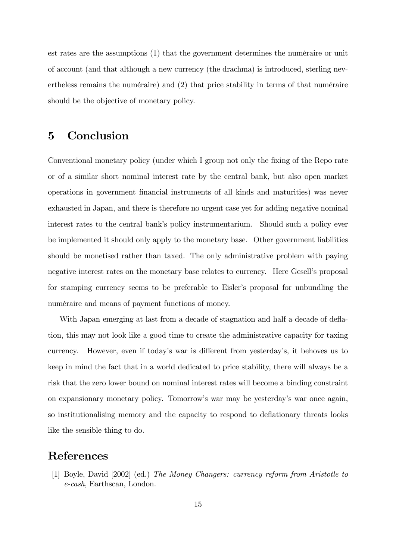est rates are the assumptions (1) that the government determines the numéraire or unit of account (and that although a new currency (the drachma) is introduced, sterling nevertheless remains the numéraire) and  $(2)$  that price stability in terms of that numéraire should be the objective of monetary policy.

### 5 Conclusion

Conventional monetary policy (under which I group not only the fixing of the Repo rate or of a similar short nominal interest rate by the central bank, but also open market operations in government Önancial instruments of all kinds and maturities) was never exhausted in Japan, and there is therefore no urgent case yet for adding negative nominal interest rates to the central bank's policy instrumentarium. Should such a policy ever be implemented it should only apply to the monetary base. Other government liabilities should be monetised rather than taxed. The only administrative problem with paying negative interest rates on the monetary base relates to currency. Here Gesell's proposal for stamping currency seems to be preferable to Eisler's proposal for unbundling the numéraire and means of payment functions of money.

With Japan emerging at last from a decade of stagnation and half a decade of deflation, this may not look like a good time to create the administrative capacity for taxing currency. However, even if today's war is different from yesterday's, it behoves us to keep in mind the fact that in a world dedicated to price stability, there will always be a risk that the zero lower bound on nominal interest rates will become a binding constraint on expansionary monetary policy. Tomorrowís war may be yesterdayís war once again, so institutionalising memory and the capacity to respond to deflationary threats looks like the sensible thing to do.

## References

[1] Boyle, David [2002] (ed.) The Money Changers: currency reform from Aristotle to e-cash, Earthscan, London.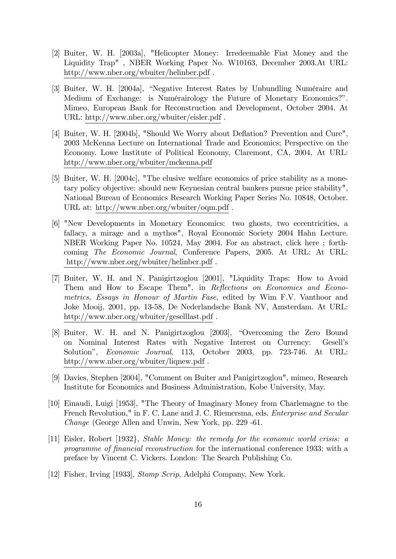- [2] Buiter, W. H. [2003a], "Helicopter Money: Irredeemable Fiat Money and the Liquidity Trap" , NBER Working Paper No. W10163, December 2003.At URL: http://www.nber.org/wbuiter/helinber.pdf .
- [3] Buiter, W. H. [2004a], "Negative Interest Rates by Unbundling Numéraire and Medium of Exchange: is Numérairology the Future of Monetary Economics?". Mimeo, European Bank for Reconstruction and Development, October 2004. At URL: http://www.nber.org/wbuiter/eisler.pdf .
- [4] Buiter, W. H. [2004b], "Should We Worry about Deáation? Prevention and Cure", 2003 McKenna Lecture on International Trade and Economics; Perspective on the Economy. Lowe Institute of Political Economy, Claremont, CA, 2004, At URL: http://www.nber.org/wbuiter/mckenna.pdf
- [5] Buiter, W. H. [2004c], "The elusive welfare economics of price stability as a monetary policy objective: should new Keynesian central bankers pursue price stability", National Bureau of Economics Research Working Paper Series No. 10848, October. URL at: http://www.nber.org/wbuiter/oqm.pdf .
- [6] "New Developments in Monetary Economics: two ghosts, two eccentricities, a fallacy, a mirage and a mythos", Royal Economic Society 2004 Hahn Lecture. NBER Working Paper No. 10524, May 2004. For an abstract, click here ; forthcoming The Economic Journal, Conference Papers, 2005. At URL: At URL: http://www.nber.org/wbuiter/helinber.pdf.
- [7] Buiter, W. H. and N. Panigirtzoglou [2001], "Liquidity Traps: How to Avoid Them and How to Escape Them", in Reflections on Economics and Econometrics, Essays in Honour of Martin Fase, edited by Wim F.V. Vanthoor and Joke Mooij, 2001, pp. 13-58, De Nederlandsche Bank NV, Amsterdam. At URL: http://www.nber.org/wbuiter/geselllast.pdf .
- [8] Buiter, W. H. and N. Panigirtzoglou [2003], "Overcoming the Zero Bound on Nominal Interest Rates with Negative Interest on Currency: Gesellís Solutionî, Economic Journal, 113, October 2003, pp. 723-746. At URL: http://www.nber.org/wbuiter/liqnew.pdf .
- [9] Davies, Stephen [2004], "Comment on Buiter and Panigirtzoglou", mimeo, Research Institute for Economics and Business Administration, Kobe University, May.
- [10] Einaudi, Luigi [1953], "The Theory of Imaginary Money from Charlemagne to the French Revolution," in F. C. Lane and J. C. Riemersma, eds. Enterprise and Secular Change (George Allen and Unwin, New York, pp. 229 -61.
- [11] Eisler, Robert [1932}, Stable Money: the remedy for the economic world crisis: a programme of Önancial reconstruction for the international conference 1933; with a preface by Vincent C. Vickers. London: The Search Publishing Co.
- [12] Fisher, Irving [1933], Stamp Scrip, Adelphi Company, New York.